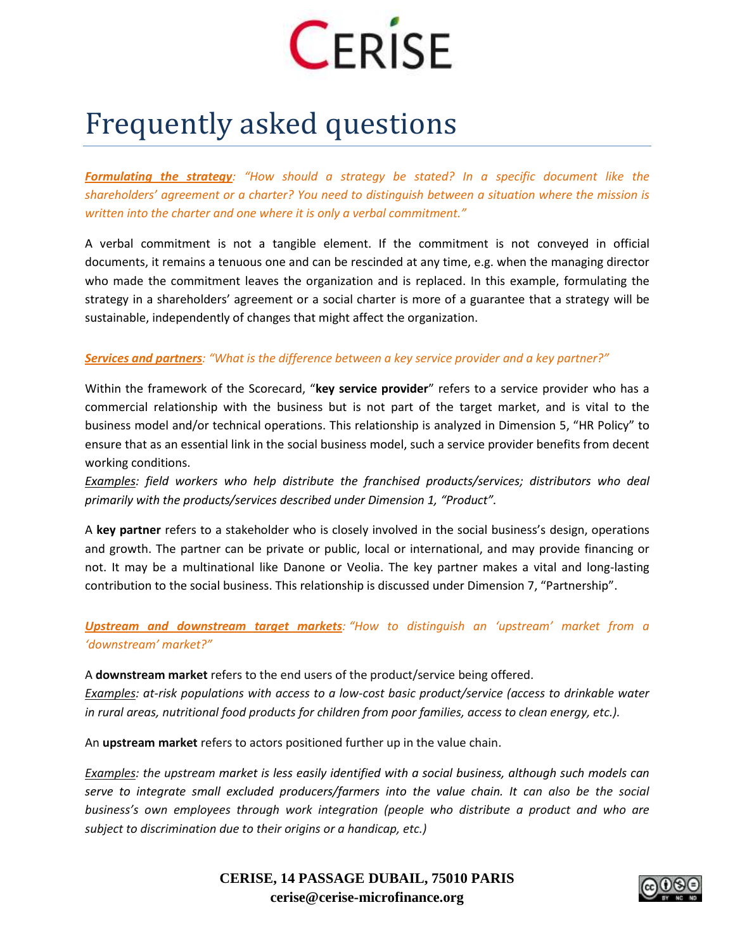

## Frequently asked questions

*Formulating the strategy: "How should a strategy be stated? In a specific document like the shareholders' agreement or a charter? You need to distinguish between a situation where the mission is written into the charter and one where it is only a verbal commitment."*

A verbal commitment is not a tangible element. If the commitment is not conveyed in official documents, it remains a tenuous one and can be rescinded at any time, e.g. when the managing director who made the commitment leaves the organization and is replaced. In this example, formulating the strategy in a shareholders' agreement or a social charter is more of a guarantee that a strategy will be sustainable, independently of changes that might affect the organization.

## *Services and partners: "What is the difference between a key service provider and a key partner?"*

Within the framework of the Scorecard, "**key service provider**" refers to a service provider who has a commercial relationship with the business but is not part of the target market, and is vital to the business model and/or technical operations. This relationship is analyzed in Dimension 5, "HR Policy" to ensure that as an essential link in the social business model, such a service provider benefits from decent working conditions.

*Examples: field workers who help distribute the franchised products/services; distributors who deal primarily with the products/services described under Dimension 1, "Product".*

A **key partner** refers to a stakeholder who is closely involved in the social business's design, operations and growth. The partner can be private or public, local or international, and may provide financing or not. It may be a multinational like Danone or Veolia. The key partner makes a vital and long-lasting contribution to the social business. This relationship is discussed under Dimension 7, "Partnership".

*Upstream and downstream target markets: "How to distinguish an 'upstream' market from a 'downstream' market?"*

A **downstream market** refers to the end users of the product/service being offered. *Examples: at-risk populations with access to a low-cost basic product/service (access to drinkable water in rural areas, nutritional food products for children from poor families, access to clean energy, etc.).*

An **upstream market** refers to actors positioned further up in the value chain.

*Examples: the upstream market is less easily identified with a social business, although such models can serve to integrate small excluded producers/farmers into the value chain. It can also be the social business's own employees through work integration (people who distribute a product and who are subject to discrimination due to their origins or a handicap, etc.)*

> **CERISE, 14 PASSAGE DUBAIL, 75010 PARIS cerise@cerise-microfinance.org**

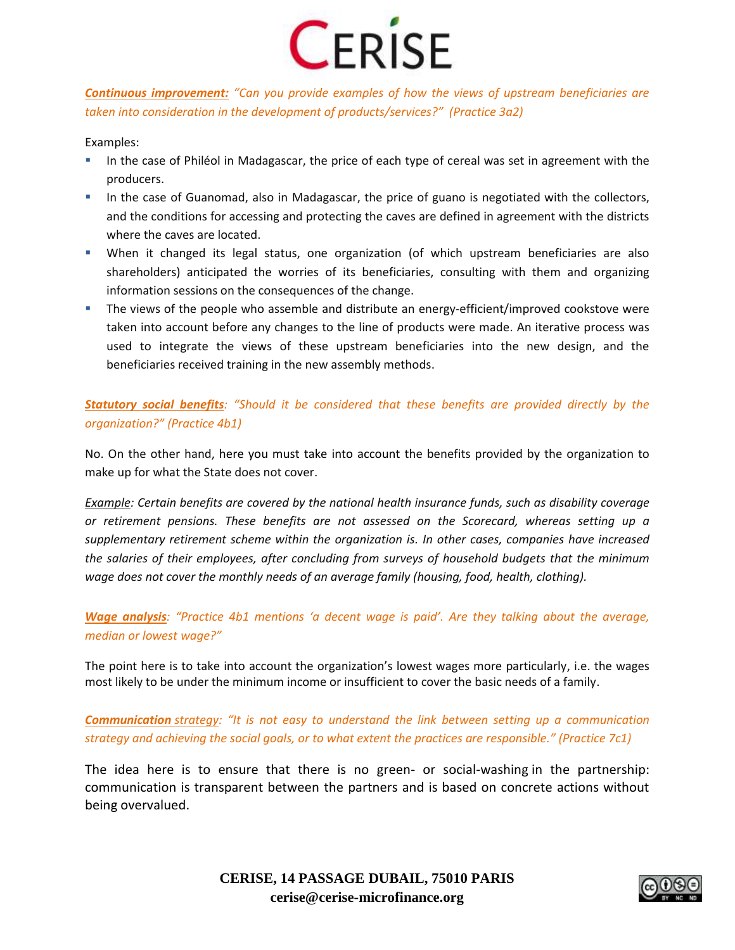

*Continuous improvement: "Can you provide examples of how the views of upstream beneficiaries are taken into consideration in the development of products/services?" (Practice 3a2)*

Examples:

- In the case of Philéol in Madagascar, the price of each type of cereal was set in agreement with the producers.
- In the case of Guanomad, also in Madagascar, the price of guano is negotiated with the collectors, and the conditions for accessing and protecting the caves are defined in agreement with the districts where the caves are located.
- When it changed its legal status, one organization (of which upstream beneficiaries are also shareholders) anticipated the worries of its beneficiaries, consulting with them and organizing information sessions on the consequences of the change.
- The views of the people who assemble and distribute an energy-efficient/improved cookstove were taken into account before any changes to the line of products were made. An iterative process was used to integrate the views of these upstream beneficiaries into the new design, and the beneficiaries received training in the new assembly methods.

*Statutory social benefits: "Should it be considered that these benefits are provided directly by the organization?" (Practice 4b1)*

No. On the other hand, here you must take into account the benefits provided by the organization to make up for what the State does not cover.

*Example: Certain benefits are covered by the national health insurance funds, such as disability coverage or retirement pensions. These benefits are not assessed on the Scorecard, whereas setting up a supplementary retirement scheme within the organization is. In other cases, companies have increased the salaries of their employees, after concluding from surveys of household budgets that the minimum wage does not cover the monthly needs of an average family (housing, food, health, clothing).* 

*Wage analysis: "Practice 4b1 mentions 'a decent wage is paid'. Are they talking about the average, median or lowest wage?"*

The point here is to take into account the organization's lowest wages more particularly, i.e. the wages most likely to be under the minimum income or insufficient to cover the basic needs of a family.

*Communication strategy: "It is not easy to understand the link between setting up a communication strategy and achieving the social goals, or to what extent the practices are responsible." (Practice 7c1)*

The idea here is to ensure that there is no green- or social-washing in the partnership: communication is transparent between the partners and is based on concrete actions without being overvalued.



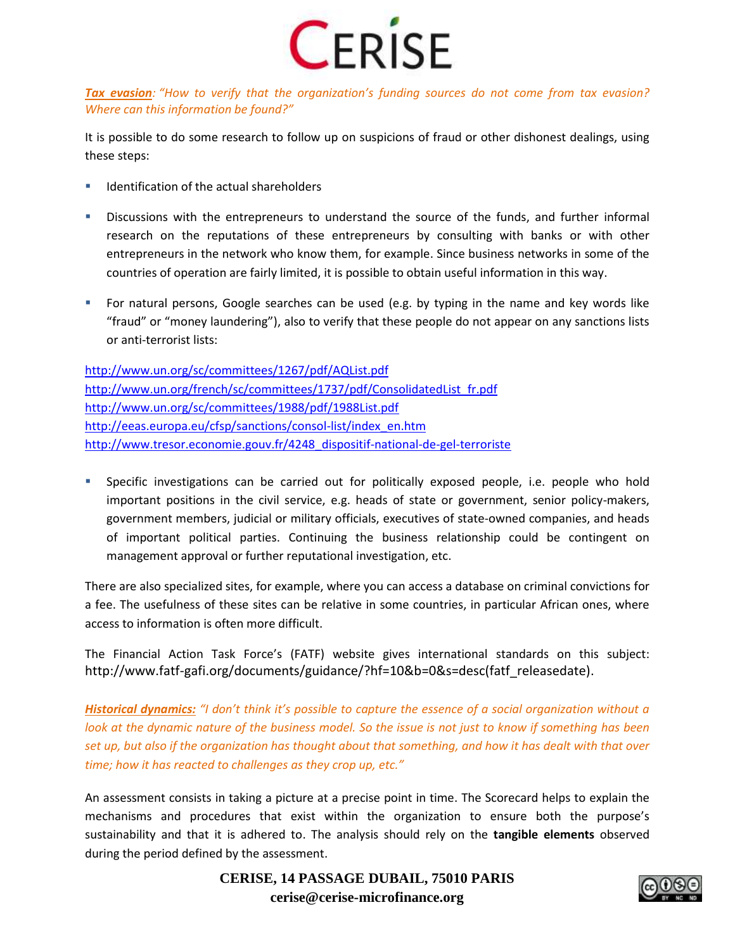

## *Tax evasion: "How to verify that the organization's funding sources do not come from tax evasion? Where can this information be found?"*

It is possible to do some research to follow up on suspicions of fraud or other dishonest dealings, using these steps:

- $\blacksquare$  Identification of the actual shareholders
- **Discussions with the entrepreneurs to understand the source of the funds, and further informal** research on the reputations of these entrepreneurs by consulting with banks or with other entrepreneurs in the network who know them, for example. Since business networks in some of the countries of operation are fairly limited, it is possible to obtain useful information in this way.
- For natural persons, Google searches can be used (e.g. by typing in the name and key words like "fraud" or "money laundering"), also to verify that these people do not appear on any sanctions lists or anti-terrorist lists:

<http://www.un.org/sc/committees/1267/pdf/AQList.pdf> [http://www.un.org/french/sc/committees/1737/pdf/ConsolidatedList\\_fr.pdf](http://www.un.org/french/sc/committees/1737/pdf/ConsolidatedList_fr.pdf) <http://www.un.org/sc/committees/1988/pdf/1988List.pdf> [http://eeas.europa.eu/cfsp/sanctions/consol-list/index\\_en.htm](http://eeas.europa.eu/cfsp/sanctions/consol-list/index_en.htm) [http://www.tresor.economie.gouv.fr/4248\\_dispositif-national-de-gel-terroriste](http://www.tresor.economie.gouv.fr/4248_dispositif-national-de-gel-terroriste)

 Specific investigations can be carried out for politically exposed people, i.e. people who hold important positions in the civil service, e.g. heads of state or government, senior policy-makers, government members, judicial or military officials, executives of state-owned companies, and heads of important political parties. Continuing the business relationship could be contingent on management approval or further reputational investigation, etc.

There are also specialized sites, for example, where you can access a database on criminal convictions for a fee. The usefulness of these sites can be relative in some countries, in particular African ones, where access to information is often more difficult.

The Financial Action Task Force's (FATF) website gives international standards on this subject: http://www.fatf-gafi.org/documents/guidance/?hf=10&b=0&s=desc(fatf\_releasedate).

*Historical dynamics: "I don't think it's possible to capture the essence of a social organization without a look at the dynamic nature of the business model. So the issue is not just to know if something has been set up, but also if the organization has thought about that something, and how it has dealt with that over time; how it has reacted to challenges as they crop up, etc."*

An assessment consists in taking a picture at a precise point in time. The Scorecard helps to explain the mechanisms and procedures that exist within the organization to ensure both the purpose's sustainability and that it is adhered to. The analysis should rely on the **tangible elements** observed during the period defined by the assessment.

> **CERISE, 14 PASSAGE DUBAIL, 75010 PARIS cerise@cerise-microfinance.org**